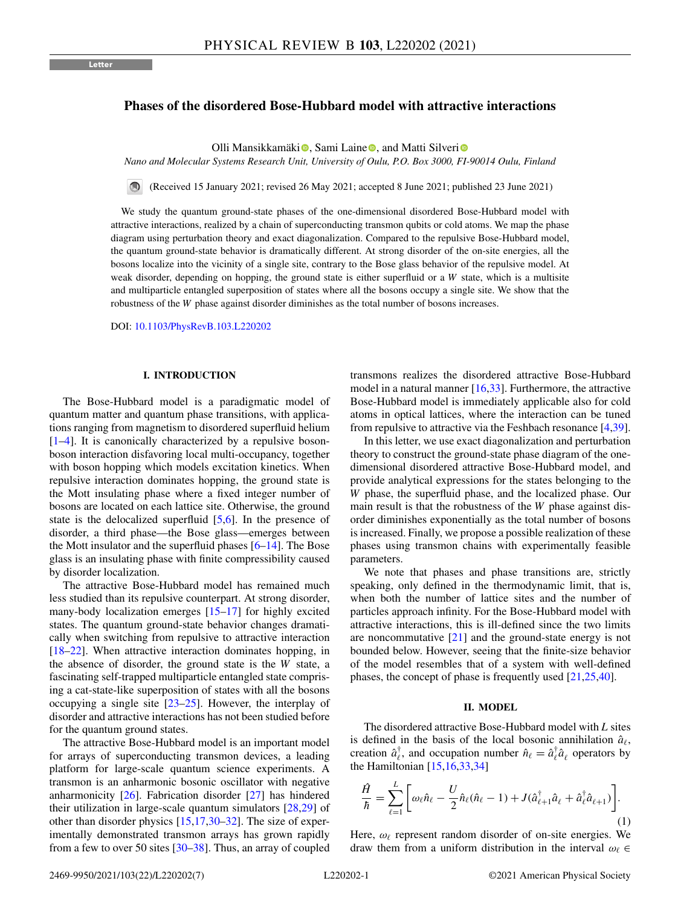# <span id="page-0-0"></span>**Phases of the disordered Bose-Hubbard model with attractive interactions**

Oll[i](https://orcid.org/0000-0002-6319-2789) Mansikkamäki <sup>(\*</sup>)[,](https://orcid.org/0000-0003-1331-532X) Sami Laine <sup>(\*</sup>), and Matti Silveri (\*)

*Nano and Molecular Systems Research Unit, University of Oulu, P.O. Box 3000, FI-90014 Oulu, Finland*

(Received 15 January 2021; revised 26 May 2021; accepted 8 June 2021; published 23 June 2021)

We study the quantum ground-state phases of the one-dimensional disordered Bose-Hubbard model with attractive interactions, realized by a chain of superconducting transmon qubits or cold atoms. We map the phase diagram using perturbation theory and exact diagonalization. Compared to the repulsive Bose-Hubbard model, the quantum ground-state behavior is dramatically different. At strong disorder of the on-site energies, all the bosons localize into the vicinity of a single site, contrary to the Bose glass behavior of the repulsive model. At weak disorder, depending on hopping, the ground state is either superfluid or a *W* state, which is a multisite and multiparticle entangled superposition of states where all the bosons occupy a single site. We show that the robustness of the *W* phase against disorder diminishes as the total number of bosons increases.

DOI: [10.1103/PhysRevB.103.L220202](https://doi.org/10.1103/PhysRevB.103.L220202)

### **I. INTRODUCTION**

The Bose-Hubbard model is a paradigmatic model of quantum matter and quantum phase transitions, with applications ranging from magnetism to disordered superfluid helium [\[1–4\]](#page-4-0). It is canonically characterized by a repulsive bosonboson interaction disfavoring local multi-occupancy, together with boson hopping which models excitation kinetics. When repulsive interaction dominates hopping, the ground state is the Mott insulating phase where a fixed integer number of bosons are located on each lattice site. Otherwise, the ground state is the delocalized superfluid  $[5,6]$ . In the presence of disorder, a third phase—the Bose glass—emerges between the Mott insulator and the superfluid phases  $[6-14]$  $[6-14]$ . The Bose glass is an insulating phase with finite compressibility caused by disorder localization.

The attractive Bose-Hubbard model has remained much less studied than its repulsive counterpart. At strong disorder, many-body localization emerges [\[15–17\]](#page-5-0) for highly excited states. The quantum ground-state behavior changes dramatically when switching from repulsive to attractive interaction [\[18–22\]](#page-5-0). When attractive interaction dominates hopping, in the absence of disorder, the ground state is the *W* state, a fascinating self-trapped multiparticle entangled state comprising a cat-state-like superposition of states with all the bosons occupying a single site [\[23–25\]](#page-5-0). However, the interplay of disorder and attractive interactions has not been studied before for the quantum ground states.

The attractive Bose-Hubbard model is an important model for arrays of superconducting transmon devices, a leading platform for large-scale quantum science experiments. A transmon is an anharmonic bosonic oscillator with negative anharmonicity [\[26\]](#page-5-0). Fabrication disorder [\[27\]](#page-5-0) has hindered their utilization in large-scale quantum simulators [\[28,29\]](#page-5-0) of other than disorder physics  $[15,17,30–32]$ . The size of experimentally demonstrated transmon arrays has grown rapidly from a few to over 50 sites  $[30-38]$  $[30-38]$ . Thus, an array of coupled transmons realizes the disordered attractive Bose-Hubbard model in a natural manner  $[16,33]$ . Furthermore, the attractive Bose-Hubbard model is immediately applicable also for cold atoms in optical lattices, where the interaction can be tuned from repulsive to attractive via the Feshbach resonance [\[4](#page-4-0)[,39\]](#page-6-0).

In this letter, we use exact diagonalization and perturbation theory to construct the ground-state phase diagram of the onedimensional disordered attractive Bose-Hubbard model, and provide analytical expressions for the states belonging to the *W* phase, the superfluid phase, and the localized phase. Our main result is that the robustness of the *W* phase against disorder diminishes exponentially as the total number of bosons is increased. Finally, we propose a possible realization of these phases using transmon chains with experimentally feasible parameters.

We note that phases and phase transitions are, strictly speaking, only defined in the thermodynamic limit, that is, when both the number of lattice sites and the number of particles approach infinity. For the Bose-Hubbard model with attractive interactions, this is ill-defined since the two limits are noncommutative  $[21]$  and the ground-state energy is not bounded below. However, seeing that the finite-size behavior of the model resembles that of a system with well-defined phases, the concept of phase is frequently used [\[21,25](#page-5-0)[,40\]](#page-6-0).

### **II. MODEL**

The disordered attractive Bose-Hubbard model with *L* sites is defined in the basis of the local bosonic annihilation  $\hat{a}_{\ell}$ , creation  $\hat{a}_{\ell}^{\dagger}$ , and occupation number  $\hat{n}_{\ell} = \hat{a}_{\ell}^{\dagger} \hat{a}_{\ell}$  operators by the Hamiltonian  $[15,16,33,34]$ 

$$
\frac{\hat{H}}{\hbar} = \sum_{\ell=1}^{L} \left[ \omega_{\ell} \hat{n}_{\ell} - \frac{U}{2} \hat{n}_{\ell} (\hat{n}_{\ell} - 1) + J (\hat{a}_{\ell+1}^{\dagger} \hat{a}_{\ell} + \hat{a}_{\ell}^{\dagger} \hat{a}_{\ell+1}) \right].
$$
\n(1)

Here,  $\omega_{\ell}$  represent random disorder of on-site energies. We draw them from a uniform distribution in the interval  $\omega_{\ell} \in$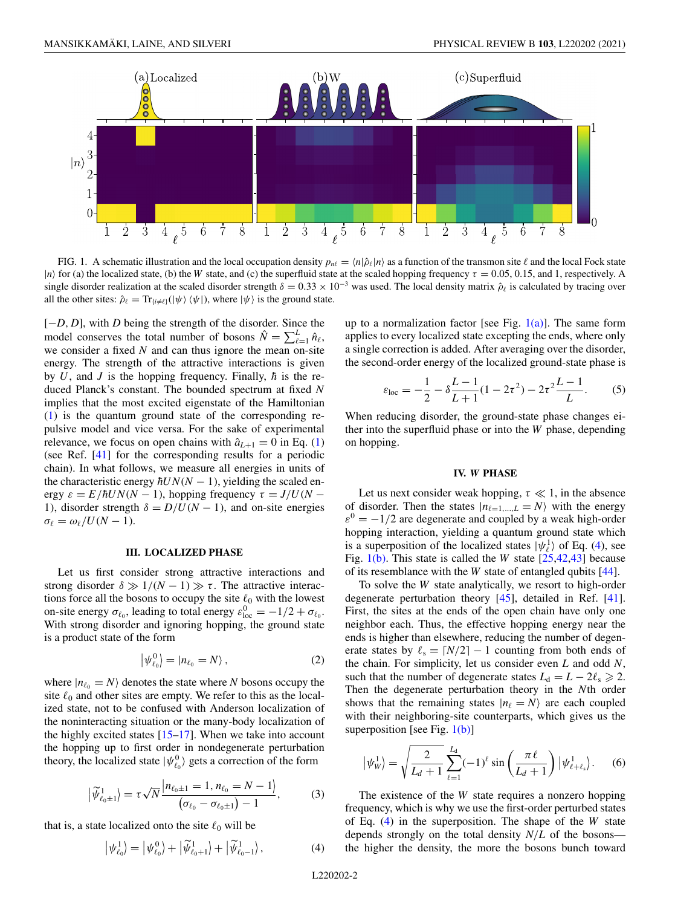<span id="page-1-0"></span>

FIG. 1. A schematic illustration and the local occupation density  $p_{n\ell} = \langle n|\hat{\rho}_{\ell}|n\rangle$  as a function of the transmon site  $\ell$  and the local Fock state | $n$  for (a) the localized state, (b) the *W* state, and (c) the superfluid state at the scaled hopping frequency  $\tau = 0.05, 0.15$ , and 1, respectively. A single disorder realization at the scaled disorder strength  $\delta = 0.33 \times 10^{-3}$  was used. The local density matrix  $\hat{\rho}_\ell$  is calculated by tracing over all the other sites:  $\hat{\rho}_{\ell} = \text{Tr}_{\{i \neq \ell\}}(|\psi\rangle \langle \psi|)$ , where  $|\psi\rangle$  is the ground state.

[−*D*, *D*], with *D* being the strength of the disorder. Since the model conserves the total number of bosons  $\hat{N} = \sum_{\ell=1}^{L} \hat{n}_{\ell}$ , we consider a fixed *N* and can thus ignore the mean on-site energy. The strength of the attractive interactions is given by  $U$ , and  $J$  is the hopping frequency. Finally,  $\hbar$  is the reduced Planck's constant. The bounded spectrum at fixed *N* implies that the most excited eigenstate of the Hamiltonian [\(1\)](#page-0-0) is the quantum ground state of the corresponding repulsive model and vice versa. For the sake of experimental relevance, we focus on open chains with  $\hat{a}_{L+1} = 0$  in Eq. [\(1\)](#page-0-0) (see Ref. [\[41\]](#page-6-0) for the corresponding results for a periodic chain). In what follows, we measure all energies in units of the characteristic energy  $\hbar UN(N - 1)$ , yielding the scaled energy  $\varepsilon = E/\hbar U N(N-1)$ , hopping frequency  $\tau = J/U(N-1)$ 1), disorder strength  $\delta = D/U(N - 1)$ , and on-site energies  $\sigma_{\ell} = \omega_{\ell}/U(N-1).$ 

### **III. LOCALIZED PHASE**

Let us first consider strong attractive interactions and strong disorder  $\delta \gg 1/(N-1) \gg \tau$ . The attractive interactions force all the bosons to occupy the site  $\ell_0$  with the lowest on-site energy  $\sigma_{\ell_0}$ , leading to total energy  $\varepsilon_{\text{loc}}^0 = -1/2 + \sigma_{\ell_0}$ . With strong disorder and ignoring hopping, the ground state is a product state of the form

$$
\left|\psi_{\ell_0}^0\right\rangle = |n_{\ell_0} = N\rangle, \qquad (2)
$$

where  $|n_{\ell_0} = N\rangle$  denotes the state where *N* bosons occupy the site  $\ell_0$  and other sites are empty. We refer to this as the localized state, not to be confused with Anderson localization of the noninteracting situation or the many-body localization of the highly excited states  $[15-17]$ . When we take into account the hopping up to first order in nondegenerate perturbation theory, the localized state  $|\psi_{\ell_0}^0\rangle$  gets a correction of the form

$$
\left|\tilde{\psi}_{\ell_0 \pm 1}^{1}\right\rangle = \tau \sqrt{N} \frac{|n_{\ell_0 \pm 1} = 1, n_{\ell_0} = N - 1|}{\left(\sigma_{\ell_0} - \sigma_{\ell_0 \pm 1}\right) - 1},\tag{3}
$$

that is, a state localized onto the site  $\ell_0$  will be

$$
\left|\psi_{\ell_0}^1\right\rangle = \left|\psi_{\ell_0}^0\right\rangle + \left|\widetilde{\psi}_{\ell_0+1}^1\right\rangle + \left|\widetilde{\psi}_{\ell_0-1}^1\right\rangle, \tag{4}
$$

up to a normalization factor [see Fig.  $1(a)$ ]. The same form applies to every localized state excepting the ends, where only a single correction is added. After averaging over the disorder, the second-order energy of the localized ground-state phase is

$$
\varepsilon_{\text{loc}} = -\frac{1}{2} - \delta \frac{L-1}{L+1} (1 - 2\tau^2) - 2\tau^2 \frac{L-1}{L}.
$$
 (5)

When reducing disorder, the ground-state phase changes either into the superfluid phase or into the *W* phase, depending on hopping.

## **IV.** *W* **PHASE**

Let us next consider weak hopping,  $\tau \ll 1$ , in the absence of disorder. Then the states  $|n_{\ell=1,\dots,L}=N\rangle$  with the energy  $\varepsilon^{0} = -1/2$  are degenerate and coupled by a weak high-order hopping interaction, yielding a quantum ground state which is a superposition of the localized states  $|\psi_{\ell}^1\rangle$  of Eq. (4), see Fig. 1(b). This state is called the *W* state [\[25](#page-5-0)[,42,43\]](#page-6-0) because of its resemblance with the *W* state of entangled qubits [\[44\]](#page-6-0).

To solve the *W* state analytically, we resort to high-order degenerate perturbation theory [\[45\]](#page-6-0), detailed in Ref. [\[41\]](#page-6-0). First, the sites at the ends of the open chain have only one neighbor each. Thus, the effective hopping energy near the ends is higher than elsewhere, reducing the number of degenerate states by  $\ell_s = \lceil N/2 \rceil - 1$  counting from both ends of the chain. For simplicity, let us consider even *L* and odd *N*, such that the number of degenerate states  $L_d = L - 2\ell_s \geq 2$ . Then the degenerate perturbation theory in the *N*th order shows that the remaining states  $|n_\ell = N\rangle$  are each coupled with their neighboring-site counterparts, which gives us the superposition [see Fig.  $1(b)$ ]

$$
|\psi_W^1\rangle = \sqrt{\frac{2}{L_d + 1}} \sum_{\ell=1}^{L_d} (-1)^{\ell} \sin\left(\frac{\pi \ell}{L_d + 1}\right) |\psi_{\ell+\ell_s}^1\rangle.
$$
 (6)

The existence of the *W* state requires a nonzero hopping frequency, which is why we use the first-order perturbed states of Eq. (4) in the superposition. The shape of the *W* state depends strongly on the total density *N*/*L* of the bosons the higher the density, the more the bosons bunch toward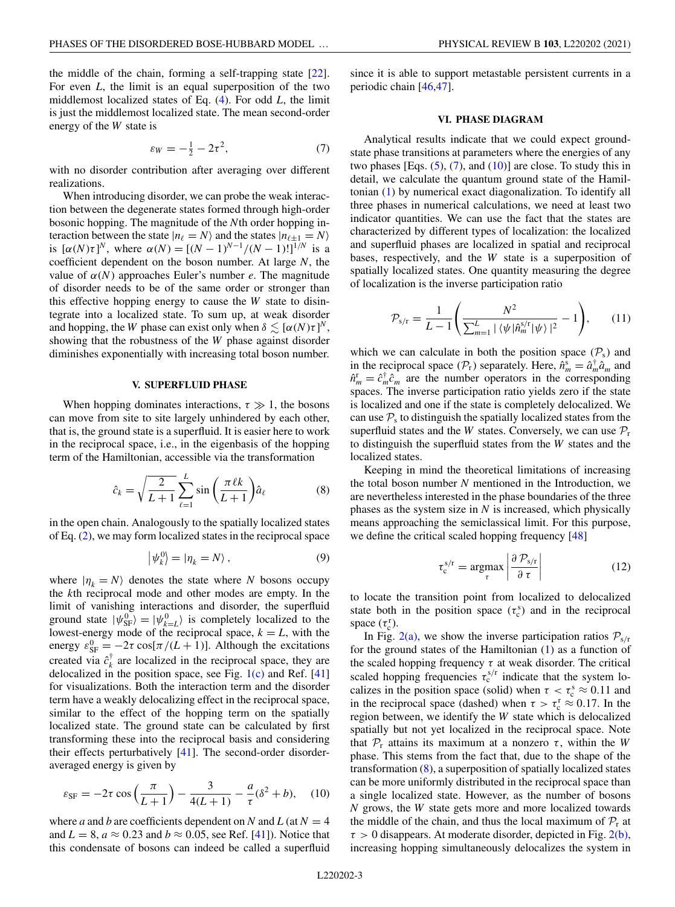$$
\varepsilon_W = -\frac{1}{2} - 2\tau^2,\tag{7}
$$

<span id="page-2-0"></span>with no disorder contribution after averaging over different realizations.

When introducing disorder, we can probe the weak interaction between the degenerate states formed through high-order bosonic hopping. The magnitude of the *N*th order hopping interaction between the state  $|n_{\ell} = N\rangle$  and the states  $|n_{\ell \pm 1} = N\rangle$ is  $[\alpha(N)\tau]^{N}$ , where  $\alpha(N) = [(N-1)^{N-1}/(N-1)!]^{1/N}$  is a coefficient dependent on the boson number. At large *N*, the value of  $\alpha(N)$  approaches Euler's number *e*. The magnitude of disorder needs to be of the same order or stronger than this effective hopping energy to cause the *W* state to disintegrate into a localized state. To sum up, at weak disorder and hopping, the *W* phase can exist only when  $\delta \lesssim [\alpha(N)\tau]^N$ , showing that the robustness of the *W* phase against disorder diminishes exponentially with increasing total boson number.

# **V. SUPERFLUID PHASE**

When hopping dominates interactions,  $\tau \gg 1$ , the bosons can move from site to site largely unhindered by each other, that is, the ground state is a superfluid. It is easier here to work in the reciprocal space, i.e., in the eigenbasis of the hopping term of the Hamiltonian, accessible via the transformation

$$
\hat{c}_k = \sqrt{\frac{2}{L+1}} \sum_{\ell=1}^L \sin\left(\frac{\pi \ell k}{L+1}\right) \hat{a}_\ell \tag{8}
$$

in the open chain. Analogously to the spatially localized states of Eq. [\(2\)](#page-1-0), we may form localized states in the reciprocal space

$$
\left|\psi_k^0\right\rangle = \left|\eta_k = N\right\rangle,\tag{9}
$$

where  $|\eta_k = N\rangle$  denotes the state where *N* bosons occupy the *k*th reciprocal mode and other modes are empty. In the limit of vanishing interactions and disorder, the superfluid ground state  $|\psi_{SF}^{0}\rangle = |\psi_{k=L}^{0}\rangle$  is completely localized to the lowest-energy mode of the reciprocal space,  $k = L$ , with the energy  $\varepsilon_{\rm SF}^0 = -2\tau \cos[\pi/(L+1)]$ . Although the excitations created via  $\hat{c}_k^{\dagger}$  are localized in the reciprocal space, they are delocalized in the position space, see Fig.  $1(c)$  and Ref. [\[41\]](#page-6-0) for visualizations. Both the interaction term and the disorder term have a weakly delocalizing effect in the reciprocal space, similar to the effect of the hopping term on the spatially localized state. The ground state can be calculated by first transforming these into the reciprocal basis and considering their effects perturbatively [\[41\]](#page-6-0). The second-order disorderaveraged energy is given by

$$
\varepsilon_{\rm SF} = -2\tau \cos\left(\frac{\pi}{L+1}\right) - \frac{3}{4(L+1)} - \frac{a}{\tau}(\delta^2 + b), \quad (10)
$$

where *a* and *b* are coefficients dependent on *N* and *L* (at  $N = 4$ ) and  $L = 8$ ,  $a \approx 0.23$  and  $b \approx 0.05$ , see Ref. [\[41\]](#page-6-0)). Notice that this condensate of bosons can indeed be called a superfluid since it is able to support metastable persistent currents in a periodic chain [\[46,47\]](#page-6-0).

### **VI. PHASE DIAGRAM**

Analytical results indicate that we could expect groundstate phase transitions at parameters where the energies of any two phases [Eqs.  $(5)$ ,  $(7)$ , and  $(10)$ ] are close. To study this in detail, we calculate the quantum ground state of the Hamiltonian [\(1\)](#page-0-0) by numerical exact diagonalization. To identify all three phases in numerical calculations, we need at least two indicator quantities. We can use the fact that the states are characterized by different types of localization: the localized and superfluid phases are localized in spatial and reciprocal bases, respectively, and the *W* state is a superposition of spatially localized states. One quantity measuring the degree of localization is the inverse participation ratio

$$
\mathcal{P}_{s/r} = \frac{1}{L-1} \left( \frac{N^2}{\sum_{m=1}^{L} |\langle \psi | \hat{n}_m^{s/r} | \psi \rangle|^2} - 1 \right), \qquad (11)
$$

which we can calculate in both the position space  $(\mathcal{P}_s)$  and in the reciprocal space  $(\mathcal{P}_r)$  separately. Here,  $\hat{n}_m^s = \hat{a}_m^{\dagger} \hat{a}_m$  and  $\hat{n}_m^r = \hat{c}_m^{\dagger} \hat{c}_m$  are the number operators in the corresponding spaces. The inverse participation ratio yields zero if the state is localized and one if the state is completely delocalized. We can use  $P<sub>s</sub>$  to distinguish the spatially localized states from the superfluid states and the *W* states. Conversely, we can use  $P_r$ to distinguish the superfluid states from the *W* states and the localized states.

Keeping in mind the theoretical limitations of increasing the total boson number *N* mentioned in the Introduction, we are nevertheless interested in the phase boundaries of the three phases as the system size in *N* is increased, which physically means approaching the semiclassical limit. For this purpose, we define the critical scaled hopping frequency [\[48\]](#page-6-0)

$$
\tau_{\rm c}^{\rm s/r} = \underset{\tau}{\text{argmax}} \left| \frac{\partial \, \mathcal{P}_{\rm s/r}}{\partial \, \tau} \right| \tag{12}
$$

to locate the transition point from localized to delocalized state both in the position space  $(\tau_c^s)$  and in the reciprocal space  $(\tau_c^r)$ .

In Fig. [2\(a\),](#page-3-0) we show the inverse participation ratios  $P_{s/r}$ for the ground states of the Hamiltonian [\(1\)](#page-0-0) as a function of the scaled hopping frequency  $\tau$  at weak disorder. The critical scaled hopping frequencies  $\tau_c^{s/r}$  indicate that the system localizes in the position space (solid) when  $\tau < \tau_{\rm c}^{\rm s} \approx 0.11$  and in the reciprocal space (dashed) when  $\tau > \tau_c^r \approx 0.17$ . In the region between, we identify the *W* state which is delocalized spatially but not yet localized in the reciprocal space. Note that  $P_r$  attains its maximum at a nonzero  $\tau$ , within the *W* phase. This stems from the fact that, due to the shape of the transformation  $(8)$ , a superposition of spatially localized states can be more uniformly distributed in the reciprocal space than a single localized state. However, as the number of bosons *N* grows, the *W* state gets more and more localized towards the middle of the chain, and thus the local maximum of  $P_r$  at  $\tau > 0$  disappears. At moderate disorder, depicted in Fig. [2\(b\),](#page-3-0) increasing hopping simultaneously delocalizes the system in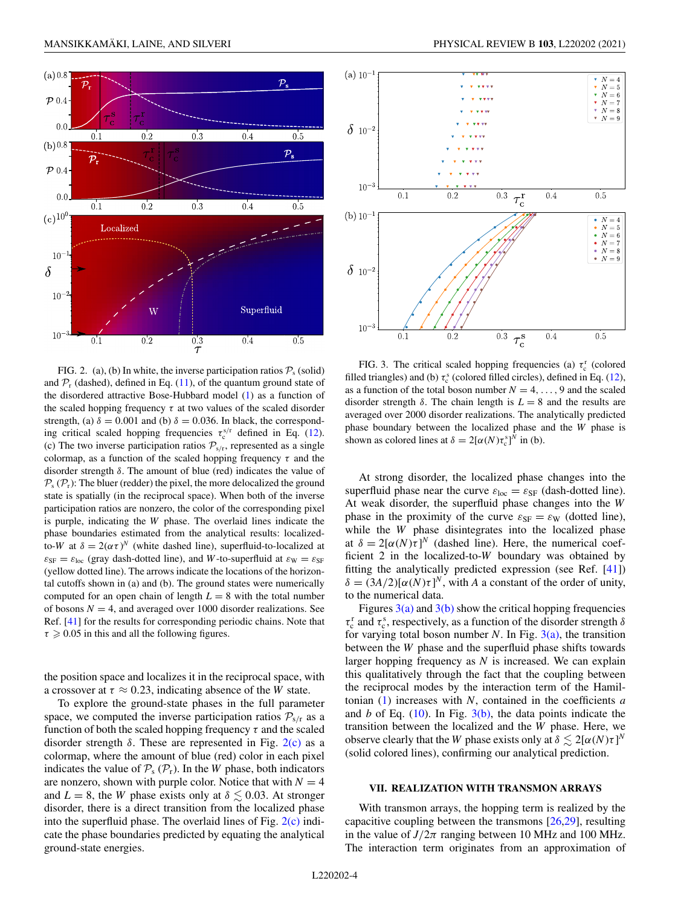<span id="page-3-0"></span>

FIG. 2. (a), (b) In white, the inverse participation ratios  $P_s$  (solid) and  $P_r$  (dashed), defined in Eq. [\(11\)](#page-2-0), of the quantum ground state of the disordered attractive Bose-Hubbard model [\(1\)](#page-0-0) as a function of the scaled hopping frequency  $\tau$  at two values of the scaled disorder strength, (a)  $\delta = 0.001$  and (b)  $\delta = 0.036$ . In black, the corresponding critical scaled hopping frequencies  $\tau_c^{s/r}$  defined in Eq. [\(12\)](#page-2-0). (c) The two inverse participation ratios  $P_{s/r}$ , represented as a single colormap, as a function of the scaled hopping frequency  $\tau$  and the disorder strength  $\delta$ . The amount of blue (red) indicates the value of  $P_s$  ( $P_r$ ): The bluer (redder) the pixel, the more delocalized the ground state is spatially (in the reciprocal space). When both of the inverse participation ratios are nonzero, the color of the corresponding pixel is purple, indicating the *W* phase. The overlaid lines indicate the phase boundaries estimated from the analytical results: localizedto-*W* at  $\delta = 2(\alpha \tau)^N$  (white dashed line), superfluid-to-localized at  $\varepsilon_{\rm SF} = \varepsilon_{\rm loc}$  (gray dash-dotted line), and *W*-to-superfluid at  $\varepsilon_{\rm W} = \varepsilon_{\rm SF}$ (yellow dotted line). The arrows indicate the locations of the horizontal cutoffs shown in (a) and (b). The ground states were numerically computed for an open chain of length  $L = 8$  with the total number of bosons  $N = 4$ , and averaged over 1000 disorder realizations. See Ref. [\[41\]](#page-6-0) for the results for corresponding periodic chains. Note that  $\tau \geqslant 0.05$  in this and all the following figures.

the position space and localizes it in the reciprocal space, with a crossover at  $\tau \approx 0.23$ , indicating absence of the *W* state.

To explore the ground-state phases in the full parameter space, we computed the inverse participation ratios  $P_{s/r}$  as a function of both the scaled hopping frequency  $\tau$  and the scaled disorder strength  $\delta$ . These are represented in Fig. 2(c) as a colormap, where the amount of blue (red) color in each pixel indicates the value of  $P_s$  ( $P_r$ ). In the *W* phase, both indicators are nonzero, shown with purple color. Notice that with  $N = 4$ and  $L = 8$ , the *W* phase exists only at  $\delta \lesssim 0.03$ . At stronger disorder, there is a direct transition from the localized phase into the superfluid phase. The overlaid lines of Fig.  $2(c)$  indicate the phase boundaries predicted by equating the analytical ground-state energies.



FIG. 3. The critical scaled hopping frequencies (a)  $\tau_c^r$  (colored filled triangles) and (b)  $\tau_c^s$  (colored filled circles), defined in Eq. [\(12\)](#page-2-0), as a function of the total boson number  $N = 4, \ldots, 9$  and the scaled disorder strength  $\delta$ . The chain length is  $L = 8$  and the results are averaged over 2000 disorder realizations. The analytically predicted phase boundary between the localized phase and the *W* phase is shown as colored lines at  $\delta = 2[\alpha(N)\tau_{c}^{s}]^{N}$  in (b).

At strong disorder, the localized phase changes into the superfluid phase near the curve  $\varepsilon_{\text{loc}} = \varepsilon_{\text{SF}}$  (dash-dotted line). At weak disorder, the superfluid phase changes into the *W* phase in the proximity of the curve  $\varepsilon_{SF} = \varepsilon_W$  (dotted line), while the *W* phase disintegrates into the localized phase at  $\delta = 2[\alpha(N)\tau]^N$  (dashed line). Here, the numerical coefficient 2 in the localized-to-*W* boundary was obtained by fitting the analytically predicted expression (see Ref. [\[41\]](#page-6-0))  $\delta = (3A/2)[\alpha(N)\tau]^N$ , with *A* a constant of the order of unity, to the numerical data.

Figures  $3(a)$  and  $3(b)$  show the critical hopping frequencies  $\tau_c^r$  and  $\tau_c^s$ , respectively, as a function of the disorder strength  $\delta$ for varying total boson number  $N$ . In Fig. 3(a), the transition between the *W* phase and the superfluid phase shifts towards larger hopping frequency as *N* is increased. We can explain this qualitatively through the fact that the coupling between the reciprocal modes by the interaction term of the Hamiltonian [\(1\)](#page-0-0) increases with *N*, contained in the coefficients *a* and *b* of Eq.  $(10)$ . In Fig.  $3(b)$ , the data points indicate the transition between the localized and the *W* phase. Here, we observe clearly that the *W* phase exists only at  $\delta \lesssim 2[\alpha(N)\tau]^N$ (solid colored lines), confirming our analytical prediction.

### **VII. REALIZATION WITH TRANSMON ARRAYS**

With transmon arrays, the hopping term is realized by the capacitive coupling between the transmons [\[26,29\]](#page-5-0), resulting in the value of  $J/2\pi$  ranging between 10 MHz and 100 MHz. The interaction term originates from an approximation of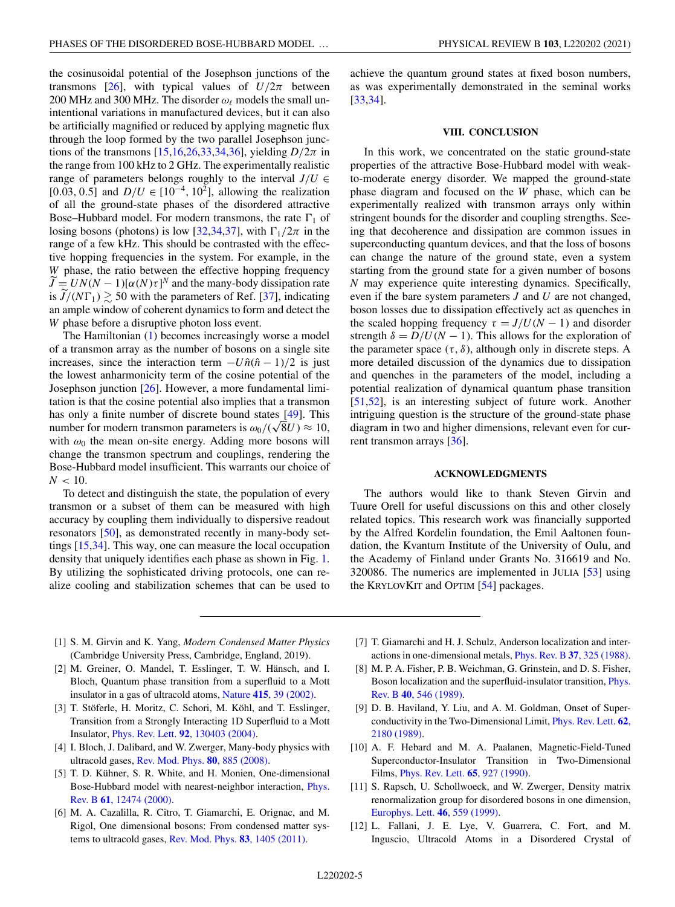<span id="page-4-0"></span>the cosinusoidal potential of the Josephson junctions of the transmons [\[26\]](#page-5-0), with typical values of  $U/2\pi$  between 200 MHz and 300 MHz. The disorder  $\omega_{\ell}$  models the small unintentional variations in manufactured devices, but it can also be artificially magnified or reduced by applying magnetic flux through the loop formed by the two parallel Josephson junctions of the transmons  $[15,16,26,33,34,36]$ , yielding  $D/2\pi$  in the range from 100 kHz to 2 GHz. The experimentally realistic range of parameters belongs roughly to the interval  $J/U \in$ [0.03, 0.5] and  $D/U \in [10^{-4}, 10^{2}]$ , allowing the realization of all the ground-state phases of the disordered attractive Bose–Hubbard model. For modern transmons, the rate  $\Gamma_1$  of losing bosons (photons) is low [\[32,34,](#page-5-0)[37\]](#page-6-0), with  $\Gamma_1/2\pi$  in the range of a few kHz. This should be contrasted with the effective hopping frequencies in the system. For example, in the *W* phase, the ratio between the effective hopping frequency  $\widetilde{J} = UN(N-1)[\alpha(N)\tau]^N$  and the many-body dissipation rate is  $J/(N\Gamma_1) \gtrsim 50$  with the parameters of Ref. [\[37\]](#page-6-0), indicating an ample window of coherent dynamics to form and detect the *W* phase before a disruptive photon loss event.

The Hamiltonian [\(1\)](#page-0-0) becomes increasingly worse a model of a transmon array as the number of bosons on a single site increases, since the interaction term  $-U\hat{n}(\hat{n}-1)/2$  is just the lowest anharmonicity term of the cosine potential of the Josephson junction [\[26\]](#page-5-0). However, a more fundamental limitation is that the cosine potential also implies that a transmon has only a finite number of discrete bound states [\[49\]](#page-6-0). This has only a finite number of discrete bound states [49]. This number for modern transmon parameters is  $\omega_0/(\sqrt{8}U) \approx 10$ , with  $\omega_0$  the mean on-site energy. Adding more bosons will change the transmon spectrum and couplings, rendering the Bose-Hubbard model insufficient. This warrants our choice of  $N < 10$ .

To detect and distinguish the state, the population of every transmon or a subset of them can be measured with high accuracy by coupling them individually to dispersive readout resonators [\[50\]](#page-6-0), as demonstrated recently in many-body settings [\[15,34\]](#page-5-0). This way, one can measure the local occupation density that uniquely identifies each phase as shown in Fig. [1.](#page-1-0) By utilizing the sophisticated driving protocols, one can realize cooling and stabilization schemes that can be used to

achieve the quantum ground states at fixed boson numbers, as was experimentally demonstrated in the seminal works [\[33,34\]](#page-5-0).

### **VIII. CONCLUSION**

In this work, we concentrated on the static ground-state properties of the attractive Bose-Hubbard model with weakto-moderate energy disorder. We mapped the ground-state phase diagram and focused on the *W* phase, which can be experimentally realized with transmon arrays only within stringent bounds for the disorder and coupling strengths. Seeing that decoherence and dissipation are common issues in superconducting quantum devices, and that the loss of bosons can change the nature of the ground state, even a system starting from the ground state for a given number of bosons *N* may experience quite interesting dynamics. Specifically, even if the bare system parameters *J* and *U* are not changed, boson losses due to dissipation effectively act as quenches in the scaled hopping frequency  $\tau = J/U(N-1)$  and disorder strength  $\delta = D/U(N - 1)$ . This allows for the exploration of the parameter space  $(\tau, \delta)$ , although only in discrete steps. A more detailed discussion of the dynamics due to dissipation and quenches in the parameters of the model, including a potential realization of dynamical quantum phase transition [\[51,52\]](#page-6-0), is an interesting subject of future work. Another intriguing question is the structure of the ground-state phase diagram in two and higher dimensions, relevant even for cur-rent transmon arrays [\[36\]](#page-5-0).

#### **ACKNOWLEDGMENTS**

The authors would like to thank Steven Girvin and Tuure Orell for useful discussions on this and other closely related topics. This research work was financially supported by the Alfred Kordelin foundation, the Emil Aaltonen foundation, the Kvantum Institute of the University of Oulu, and the Academy of Finland under Grants No. 316619 and No. 320086. The numerics are implemented in JULIA [\[53\]](#page-6-0) using the KRYLOVKIT and OPTIM [\[54\]](#page-6-0) packages.

- [1] S. M. Girvin and K. Yang, *Modern Condensed Matter Physics* (Cambridge University Press, Cambridge, England, 2019).
- [2] M. Greiner, O. Mandel, T. Esslinger, T. W. Hänsch, and I. Bloch, Quantum phase transition from a superfluid to a Mott insulator in a gas of ultracold atoms, Nature **415**[, 39 \(2002\).](https://doi.org/10.1038/415039a)
- [3] T. Stöferle, H. Moritz, C. Schori, M. Köhl, and T. Esslinger, Transition from a Strongly Interacting 1D Superfluid to a Mott Insulator, Phys. Rev. Lett. **92**[, 130403 \(2004\).](https://doi.org/10.1103/PhysRevLett.92.130403)
- [4] I. Bloch, J. Dalibard, and W. Zwerger, Many-body physics with ultracold gases, [Rev. Mod. Phys.](https://doi.org/10.1103/RevModPhys.80.885) **80**, 885 (2008).
- [5] T. D. Kühner, S. R. White, and H. Monien, One-dimensional [Bose-Hubbard model with nearest-neighbor interaction,](https://doi.org/10.1103/PhysRevB.61.12474) Phys. Rev. B **61**, 12474 (2000).
- [6] M. A. Cazalilla, R. Citro, T. Giamarchi, E. Orignac, and M. Rigol, One dimensional bosons: From condensed matter systems to ultracold gases, [Rev. Mod. Phys.](https://doi.org/10.1103/RevModPhys.83.1405) **83**, 1405 (2011).
- [7] T. Giamarchi and H. J. Schulz, Anderson localization and interactions in one-dimensional metals, [Phys. Rev. B](https://doi.org/10.1103/PhysRevB.37.325) **37**, 325 (1988).
- [8] M. P. A. Fisher, P. B. Weichman, G. Grinstein, and D. S. Fisher, [Boson localization and the superfluid-insulator transition,](https://doi.org/10.1103/PhysRevB.40.546) Phys. Rev. B **40**, 546 (1989).
- [9] D. B. Haviland, Y. Liu, and A. M. Goldman, Onset of Super[conductivity in the Two-Dimensional Limit,](https://doi.org/10.1103/PhysRevLett.62.2180) Phys. Rev. Lett. **62**, 2180 (1989).
- [10] A. F. Hebard and M. A. Paalanen, Magnetic-Field-Tuned Superconductor-Insulator Transition in Two-Dimensional Films, [Phys. Rev. Lett.](https://doi.org/10.1103/PhysRevLett.65.927) **65**, 927 (1990).
- [11] S. Rapsch, U. Schollwoeck, and W. Zwerger, Density matrix renormalization group for disordered bosons in one dimension, [Europhys. Lett.](https://doi.org/10.1209/epl/i1999-00302-7) **46**, 559 (1999).
- [12] L. Fallani, J. E. Lye, V. Guarrera, C. Fort, and M. Inguscio, Ultracold Atoms in a Disordered Crystal of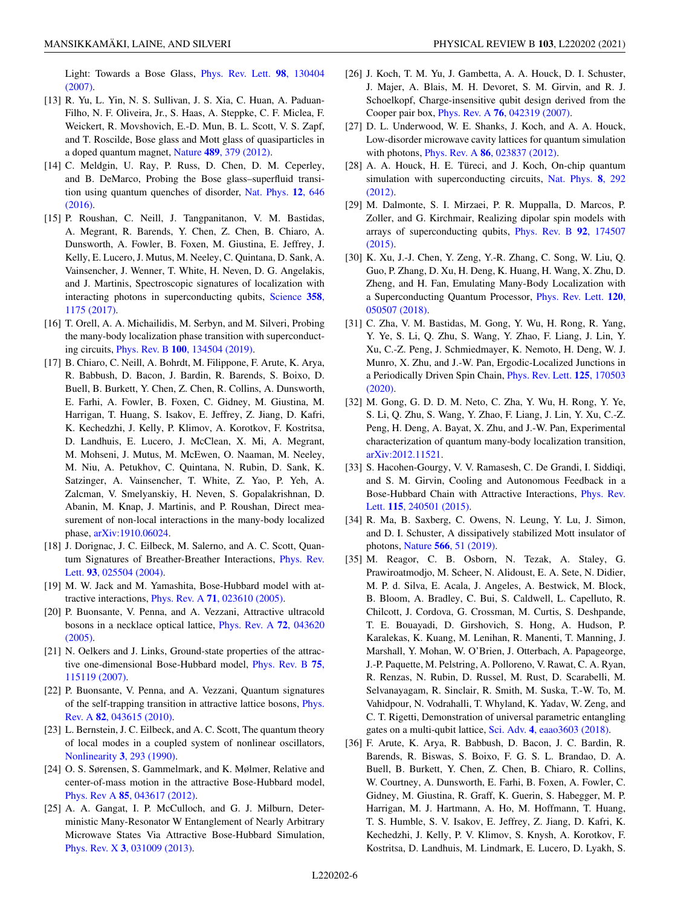<span id="page-5-0"></span>[Light: Towards a Bose Glass,](https://doi.org/10.1103/PhysRevLett.98.130404) Phys. Rev. Lett. **98**, 130404 (2007).

- [13] R. Yu, L. Yin, N. S. Sullivan, J. S. Xia, C. Huan, A. Paduan-Filho, N. F. Oliveira, Jr., S. Haas, A. Steppke, C. F. Miclea, F. Weickert, R. Movshovich, E.-D. Mun, B. L. Scott, V. S. Zapf, and T. Roscilde, Bose glass and Mott glass of quasiparticles in a doped quantum magnet, Nature **489**[, 379 \(2012\).](https://doi.org/10.1038/nature11406)
- [14] C. Meldgin, U. Ray, P. Russ, D. Chen, D. M. Ceperley, and B. DeMarco, Probing the Bose glass–superfluid transi[tion using quantum quenches of disorder,](https://doi.org/10.1038/nphys3695) Nat. Phys. **12**, 646 (2016).
- [15] P. Roushan, C. Neill, J. Tangpanitanon, V. M. Bastidas, A. Megrant, R. Barends, Y. Chen, Z. Chen, B. Chiaro, A. Dunsworth, A. Fowler, B. Foxen, M. Giustina, E. Jeffrey, J. Kelly, E. Lucero, J. Mutus, M. Neeley, C. Quintana, D. Sank, A. Vainsencher, J. Wenner, T. White, H. Neven, D. G. Angelakis, and J. Martinis, Spectroscopic signatures of localization with [interacting photons in superconducting qubits,](https://doi.org/10.1126/science.aao1401) Science **358**, 1175 (2017).
- [16] T. Orell, A. A. Michailidis, M. Serbyn, and M. Silveri, Probing the many-body localization phase transition with superconducting circuits, Phys. Rev. B **100**[, 134504 \(2019\).](https://doi.org/10.1103/PhysRevB.100.134504)
- [17] B. Chiaro, C. Neill, A. Bohrdt, M. Filippone, F. Arute, K. Arya, R. Babbush, D. Bacon, J. Bardin, R. Barends, S. Boixo, D. Buell, B. Burkett, Y. Chen, Z. Chen, R. Collins, A. Dunsworth, E. Farhi, A. Fowler, B. Foxen, C. Gidney, M. Giustina, M. Harrigan, T. Huang, S. Isakov, E. Jeffrey, Z. Jiang, D. Kafri, K. Kechedzhi, J. Kelly, P. Klimov, A. Korotkov, F. Kostritsa, D. Landhuis, E. Lucero, J. McClean, X. Mi, A. Megrant, M. Mohseni, J. Mutus, M. McEwen, O. Naaman, M. Neeley, M. Niu, A. Petukhov, C. Quintana, N. Rubin, D. Sank, K. Satzinger, A. Vainsencher, T. White, Z. Yao, P. Yeh, A. Zalcman, V. Smelyanskiy, H. Neven, S. Gopalakrishnan, D. Abanin, M. Knap, J. Martinis, and P. Roushan, Direct measurement of non-local interactions in the many-body localized phase, [arXiv:1910.06024.](http://arxiv.org/abs/arXiv:1910.06024)
- [18] J. Dorignac, J. C. Eilbeck, M. Salerno, and A. C. Scott, Quan[tum Signatures of Breather-Breather Interactions,](https://doi.org/10.1103/PhysRevLett.93.025504) Phys. Rev. Lett. **93**, 025504 (2004).
- [19] M. W. Jack and M. Yamashita, Bose-Hubbard model with attractive interactions, Phys. Rev. A **71**[, 023610 \(2005\).](https://doi.org/10.1103/PhysRevA.71.023610)
- [20] P. Buonsante, V. Penna, and A. Vezzani, Attractive ultracold [bosons in a necklace optical lattice,](https://doi.org/10.1103/PhysRevA.72.043620) Phys. Rev. A **72**, 043620 (2005).
- [21] N. Oelkers and J. Links, Ground-state properties of the attrac[tive one-dimensional Bose-Hubbard model,](https://doi.org/10.1103/PhysRevB.75.115119) Phys. Rev. B **75**, 115119 (2007).
- [22] P. Buonsante, V. Penna, and A. Vezzani, Quantum signatures [of the self-trapping transition in attractive lattice bosons,](https://doi.org/10.1103/PhysRevA.82.043615) Phys. Rev. A **82**, 043615 (2010).
- [23] L. Bernstein, J. C. Eilbeck, and A. C. Scott, The quantum theory of local modes in a coupled system of nonlinear oscillators, [Nonlinearity](https://doi.org/10.1088/0951-7715/3/2/004) **3**, 293 (1990).
- [24] O. S. Sørensen, S. Gammelmark, and K. Mølmer, Relative and center-of-mass motion in the attractive Bose-Hubbard model, Phys. Rev A **85**[, 043617 \(2012\).](https://doi.org/10.1103/PhysRevA.85.043617)
- [25] A. A. Gangat, I. P. McCulloch, and G. J. Milburn, Deterministic Many-Resonator W Entanglement of Nearly Arbitrary Microwave States Via Attractive Bose-Hubbard Simulation, Phys. Rev. X **3**[, 031009 \(2013\).](https://doi.org/10.1103/PhysRevX.3.031009)
- [26] J. Koch, T. M. Yu, J. Gambetta, A. A. Houck, D. I. Schuster, J. Majer, A. Blais, M. H. Devoret, S. M. Girvin, and R. J. Schoelkopf, Charge-insensitive qubit design derived from the Cooper pair box, Phys. Rev. A **76**[, 042319 \(2007\).](https://doi.org/10.1103/PhysRevA.76.042319)
- [27] D. L. Underwood, W. E. Shanks, J. Koch, and A. A. Houck, Low-disorder microwave cavity lattices for quantum simulation with photons, Phys. Rev. A **86**[, 023837 \(2012\).](https://doi.org/10.1103/PhysRevA.86.023837)
- [28] A. A. Houck, H. E. Türeci, and J. Koch, On-chip quantum [simulation with superconducting circuits,](https://doi.org/10.1038/nphys2251) Nat. Phys. **8**, 292 (2012).
- [29] M. Dalmonte, S. I. Mirzaei, P. R. Muppalla, D. Marcos, P. Zoller, and G. Kirchmair, Realizing dipolar spin models with [arrays of superconducting qubits,](https://doi.org/10.1103/PhysRevB.92.174507) Phys. Rev. B **92**, 174507 (2015).
- [30] K. Xu, J.-J. Chen, Y. Zeng, Y.-R. Zhang, C. Song, W. Liu, Q. Guo, P. Zhang, D. Xu, H. Deng, K. Huang, H. Wang, X. Zhu, D. Zheng, and H. Fan, Emulating Many-Body Localization with [a Superconducting Quantum Processor,](https://doi.org/10.1103/PhysRevLett.120.050507) Phys. Rev. Lett. **120**, 050507 (2018).
- [31] C. Zha, V. M. Bastidas, M. Gong, Y. Wu, H. Rong, R. Yang, Y. Ye, S. Li, Q. Zhu, S. Wang, Y. Zhao, F. Liang, J. Lin, Y. Xu, C.-Z. Peng, J. Schmiedmayer, K. Nemoto, H. Deng, W. J. Munro, X. Zhu, and J.-W. Pan, Ergodic-Localized Junctions in [a Periodically Driven Spin Chain,](https://doi.org/10.1103/PhysRevLett.125.170503) Phys. Rev. Lett. **125**, 170503 (2020).
- [32] M. Gong, G. D. D. M. Neto, C. Zha, Y. Wu, H. Rong, Y. Ye, S. Li, Q. Zhu, S. Wang, Y. Zhao, F. Liang, J. Lin, Y. Xu, C.-Z. Peng, H. Deng, A. Bayat, X. Zhu, and J.-W. Pan, Experimental characterization of quantum many-body localization transition, [arXiv:2012.11521.](http://arxiv.org/abs/arXiv:2012.11521)
- [33] S. Hacohen-Gourgy, V. V. Ramasesh, C. De Grandi, I. Siddiqi, and S. M. Girvin, Cooling and Autonomous Feedback in a [Bose-Hubbard Chain with Attractive Interactions,](https://doi.org/10.1103/PhysRevLett.115.240501) Phys. Rev. Lett. **115**, 240501 (2015).
- [34] R. Ma, B. Saxberg, C. Owens, N. Leung, Y. Lu, J. Simon, and D. I. Schuster, A dissipatively stabilized Mott insulator of photons, Nature **566**[, 51 \(2019\).](https://doi.org/10.1038/s41586-019-0897-9)
- [35] M. Reagor, C. B. Osborn, N. Tezak, A. Staley, G. Prawiroatmodjo, M. Scheer, N. Alidoust, E. A. Sete, N. Didier, M. P. d. Silva, E. Acala, J. Angeles, A. Bestwick, M. Block, B. Bloom, A. Bradley, C. Bui, S. Caldwell, L. Capelluto, R. Chilcott, J. Cordova, G. Crossman, M. Curtis, S. Deshpande, T. E. Bouayadi, D. Girshovich, S. Hong, A. Hudson, P. Karalekas, K. Kuang, M. Lenihan, R. Manenti, T. Manning, J. Marshall, Y. Mohan, W. O'Brien, J. Otterbach, A. Papageorge, J.-P. Paquette, M. Pelstring, A. Polloreno, V. Rawat, C. A. Ryan, R. Renzas, N. Rubin, D. Russel, M. Rust, D. Scarabelli, M. Selvanayagam, R. Sinclair, R. Smith, M. Suska, T.-W. To, M. Vahidpour, N. Vodrahalli, T. Whyland, K. Yadav, W. Zeng, and C. T. Rigetti, Demonstration of universal parametric entangling gates on a multi-qubit lattice, Sci. Adv. **4**[, eaao3603 \(2018\).](https://doi.org/10.1126/sciadv.aao3603)
- [36] F. Arute, K. Arya, R. Babbush, D. Bacon, J. C. Bardin, R. Barends, R. Biswas, S. Boixo, F. G. S. L. Brandao, D. A. Buell, B. Burkett, Y. Chen, Z. Chen, B. Chiaro, R. Collins, W. Courtney, A. Dunsworth, E. Farhi, B. Foxen, A. Fowler, C. Gidney, M. Giustina, R. Graff, K. Guerin, S. Habegger, M. P. Harrigan, M. J. Hartmann, A. Ho, M. Hoffmann, T. Huang, T. S. Humble, S. V. Isakov, E. Jeffrey, Z. Jiang, D. Kafri, K. Kechedzhi, J. Kelly, P. V. Klimov, S. Knysh, A. Korotkov, F. Kostritsa, D. Landhuis, M. Lindmark, E. Lucero, D. Lyakh, S.